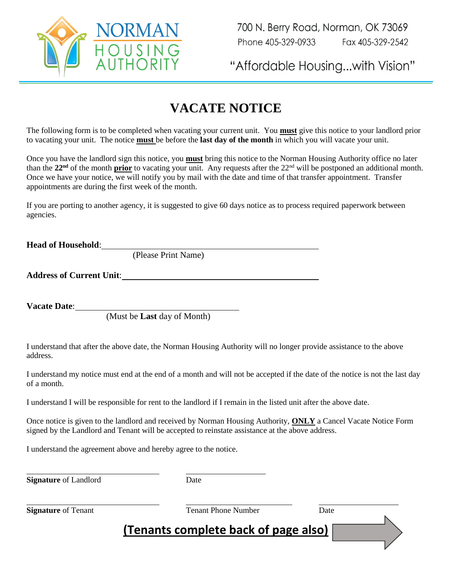

"Affordable Housing...with Vision"

## **VACATE NOTICE**

The following form is to be completed when vacating your current unit. You **must** give this notice to your landlord prior to vacating your unit. The notice **must** be before the **last day of the month** in which you will vacate your unit.

Once you have the landlord sign this notice, you **must** bring this notice to the Norman Housing Authority office no later than the  $22<sup>nd</sup>$  of the month **prior** to vacating your unit. Any requests after the  $22<sup>nd</sup>$  will be postponed an additional month. Once we have your notice, we will notify you by mail with the date and time of that transfer appointment. Transfer appointments are during the first week of the month.

If you are porting to another agency, it is suggested to give 60 days notice as to process required paperwork between agencies.

**Head of Household**: (Please Print Name)

**Address of Current Unit**:

**Vacate Date**:

(Must be **Last** day of Month)

I understand that after the above date, the Norman Housing Authority will no longer provide assistance to the above address.

I understand my notice must end at the end of a month and will not be accepted if the date of the notice is not the last day of a month.

I understand I will be responsible for rent to the landlord if I remain in the listed unit after the above date.

Once notice is given to the landlord and received by Norman Housing Authority, **ONLY** a Cancel Vacate Notice Form signed by the Landlord and Tenant will be accepted to reinstate assistance at the above address.

I understand the agreement above and hereby agree to the notice.

**Signature** of Landlord Date

**Signature** of Tenant **Tenant Phone Number** Date

**(Tenants complete back of page also)**